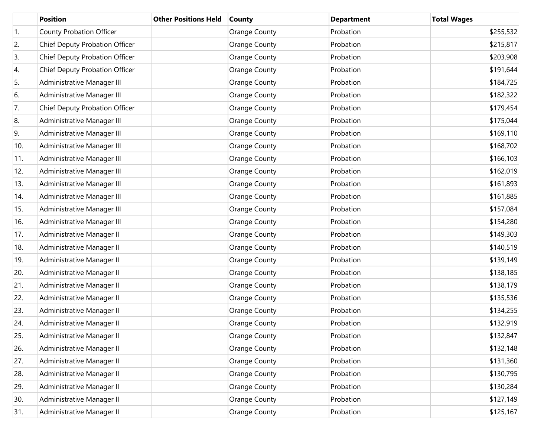|     | <b>Position</b>                 | <b>Other Positions Held</b> | <b>County</b> | <b>Department</b> | <b>Total Wages</b> |
|-----|---------------------------------|-----------------------------|---------------|-------------------|--------------------|
| 1.  | <b>County Probation Officer</b> |                             | Orange County | Probation         | \$255,532          |
| 2.  | Chief Deputy Probation Officer  |                             | Orange County | Probation         | \$215,817          |
| 3.  | Chief Deputy Probation Officer  |                             | Orange County | Probation         | \$203,908          |
| 4.  | Chief Deputy Probation Officer  |                             | Orange County | Probation         | \$191,644          |
| 5.  | Administrative Manager III      |                             | Orange County | Probation         | \$184,725          |
| 6.  | Administrative Manager III      |                             | Orange County | Probation         | \$182,322          |
| 7.  | Chief Deputy Probation Officer  |                             | Orange County | Probation         | \$179,454          |
| 8.  | Administrative Manager III      |                             | Orange County | Probation         | \$175,044          |
| 9.  | Administrative Manager III      |                             | Orange County | Probation         | \$169,110          |
| 10. | Administrative Manager III      |                             | Orange County | Probation         | \$168,702          |
| 11. | Administrative Manager III      |                             | Orange County | Probation         | \$166,103          |
| 12. | Administrative Manager III      |                             | Orange County | Probation         | \$162,019          |
| 13. | Administrative Manager III      |                             | Orange County | Probation         | \$161,893          |
| 14. | Administrative Manager III      |                             | Orange County | Probation         | \$161,885          |
| 15. | Administrative Manager III      |                             | Orange County | Probation         | \$157,084          |
| 16. | Administrative Manager III      |                             | Orange County | Probation         | \$154,280          |
| 17. | Administrative Manager II       |                             | Orange County | Probation         | \$149,303          |
| 18. | Administrative Manager II       |                             | Orange County | Probation         | \$140,519          |
| 19. | Administrative Manager II       |                             | Orange County | Probation         | \$139,149          |
| 20. | Administrative Manager II       |                             | Orange County | Probation         | \$138,185          |
| 21. | Administrative Manager II       |                             | Orange County | Probation         | \$138,179          |
| 22. | Administrative Manager II       |                             | Orange County | Probation         | \$135,536          |
| 23. | Administrative Manager II       |                             | Orange County | Probation         | \$134,255          |
| 24. | Administrative Manager II       |                             | Orange County | Probation         | \$132,919          |
| 25. | Administrative Manager II       |                             | Orange County | Probation         | \$132,847          |
| 26. | Administrative Manager II       |                             | Orange County | Probation         | \$132,148          |
| 27. | Administrative Manager II       |                             | Orange County | Probation         | \$131,360          |
| 28. | Administrative Manager II       |                             | Orange County | Probation         | \$130,795          |
| 29. | Administrative Manager II       |                             | Orange County | Probation         | \$130,284          |
| 30. | Administrative Manager II       |                             | Orange County | Probation         | \$127,149          |
| 31. | Administrative Manager II       |                             | Orange County | Probation         | \$125,167          |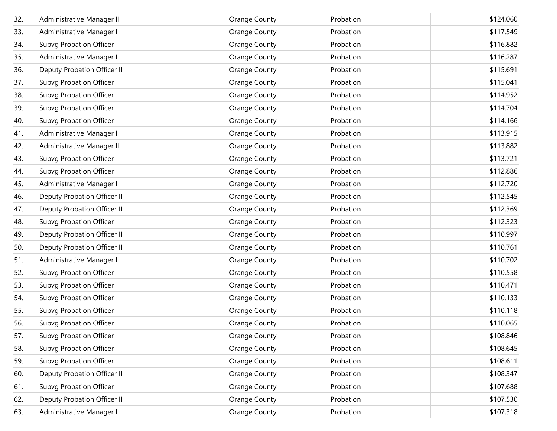| 32. | Administrative Manager II      | <b>Orange County</b> | Probation | \$124,060 |
|-----|--------------------------------|----------------------|-----------|-----------|
| 33. | Administrative Manager I       | Orange County        | Probation | \$117,549 |
| 34. | <b>Supvg Probation Officer</b> | <b>Orange County</b> | Probation | \$116,882 |
| 35. | Administrative Manager I       | Orange County        | Probation | \$116,287 |
| 36. | Deputy Probation Officer II    | <b>Orange County</b> | Probation | \$115,691 |
| 37. | <b>Supvg Probation Officer</b> | Orange County        | Probation | \$115,041 |
| 38. | <b>Supvg Probation Officer</b> | <b>Orange County</b> | Probation | \$114,952 |
| 39. | <b>Supvg Probation Officer</b> | Orange County        | Probation | \$114,704 |
| 40. | <b>Supvg Probation Officer</b> | <b>Orange County</b> | Probation | \$114,166 |
| 41. | Administrative Manager I       | Orange County        | Probation | \$113,915 |
| 42. | Administrative Manager II      | <b>Orange County</b> | Probation | \$113,882 |
| 43. | <b>Supvg Probation Officer</b> | Orange County        | Probation | \$113,721 |
| 44. | <b>Supvg Probation Officer</b> | <b>Orange County</b> | Probation | \$112,886 |
| 45. | Administrative Manager I       | Orange County        | Probation | \$112,720 |
| 46. | Deputy Probation Officer II    | <b>Orange County</b> | Probation | \$112,545 |
| 47. | Deputy Probation Officer II    | Orange County        | Probation | \$112,369 |
| 48. | <b>Supvg Probation Officer</b> | <b>Orange County</b> | Probation | \$112,323 |
| 49. | Deputy Probation Officer II    | Orange County        | Probation | \$110,997 |
| 50. | Deputy Probation Officer II    | Orange County        | Probation | \$110,761 |
| 51. | Administrative Manager I       | Orange County        | Probation | \$110,702 |
| 52. | <b>Supvg Probation Officer</b> | Orange County        | Probation | \$110,558 |
| 53. | <b>Supvg Probation Officer</b> | Orange County        | Probation | \$110,471 |
| 54. | <b>Supvg Probation Officer</b> | Orange County        | Probation | \$110,133 |
| 55. | <b>Supvg Probation Officer</b> | Orange County        | Probation | \$110,118 |
| 56. | Supvg Probation Officer        | <b>Orange County</b> | Probation | \$110,065 |
| 57. | <b>Supvg Probation Officer</b> | <b>Orange County</b> | Probation | \$108,846 |
| 58. | <b>Supvg Probation Officer</b> | <b>Orange County</b> | Probation | \$108,645 |
| 59. | Supvg Probation Officer        | Orange County        | Probation | \$108,611 |
| 60. | Deputy Probation Officer II    | <b>Orange County</b> | Probation | \$108,347 |
| 61. | Supvg Probation Officer        | <b>Orange County</b> | Probation | \$107,688 |
| 62. | Deputy Probation Officer II    | Orange County        | Probation | \$107,530 |
| 63. | Administrative Manager I       | <b>Orange County</b> | Probation | \$107,318 |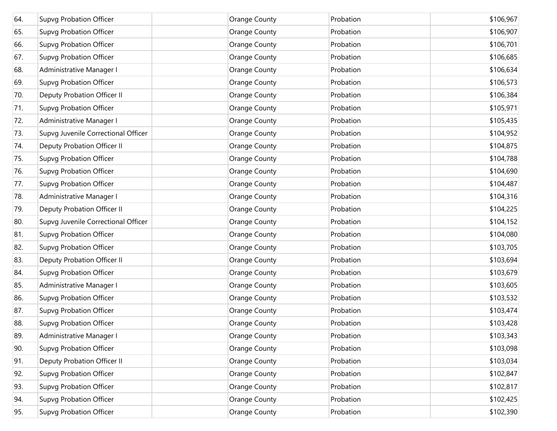| 64. | <b>Supvg Probation Officer</b>      | Orange County        | Probation | \$106,967 |
|-----|-------------------------------------|----------------------|-----------|-----------|
| 65. | <b>Supvg Probation Officer</b>      | Orange County        | Probation | \$106,907 |
| 66. | <b>Supvg Probation Officer</b>      | Orange County        | Probation | \$106,701 |
| 67. | <b>Supvg Probation Officer</b>      | Orange County        | Probation | \$106,685 |
| 68. | Administrative Manager I            | Orange County        | Probation | \$106,634 |
| 69. | <b>Supvg Probation Officer</b>      | Orange County        | Probation | \$106,573 |
| 70. | Deputy Probation Officer II         | Orange County        | Probation | \$106,384 |
| 71. | <b>Supvg Probation Officer</b>      | Orange County        | Probation | \$105,971 |
| 72. | Administrative Manager I            | Orange County        | Probation | \$105,435 |
| 73. | Supvg Juvenile Correctional Officer | Orange County        | Probation | \$104,952 |
| 74. | Deputy Probation Officer II         | Orange County        | Probation | \$104,875 |
| 75. | <b>Supvg Probation Officer</b>      | Orange County        | Probation | \$104,788 |
| 76. | <b>Supvg Probation Officer</b>      | Orange County        | Probation | \$104,690 |
| 77. | <b>Supvg Probation Officer</b>      | Orange County        | Probation | \$104,487 |
| 78. | Administrative Manager I            | Orange County        | Probation | \$104,316 |
| 79. | Deputy Probation Officer II         | Orange County        | Probation | \$104,225 |
| 80. | Supvg Juvenile Correctional Officer | Orange County        | Probation | \$104,152 |
| 81. | <b>Supvg Probation Officer</b>      | Orange County        | Probation | \$104,080 |
| 82. | <b>Supvg Probation Officer</b>      | Orange County        | Probation | \$103,705 |
| 83. | Deputy Probation Officer II         | Orange County        | Probation | \$103,694 |
| 84. | <b>Supvg Probation Officer</b>      | Orange County        | Probation | \$103,679 |
| 85. | Administrative Manager I            | Orange County        | Probation | \$103,605 |
| 86. | <b>Supvg Probation Officer</b>      | Orange County        | Probation | \$103,532 |
| 87. | <b>Supvg Probation Officer</b>      | Orange County        | Probation | \$103,474 |
| 88. | Supvg Probation Officer             | Orange County        | Probation | \$103,428 |
| 89. | Administrative Manager I            | <b>Orange County</b> | Probation | \$103,343 |
| 90. | <b>Supvg Probation Officer</b>      | Orange County        | Probation | \$103,098 |
| 91. | Deputy Probation Officer II         | <b>Orange County</b> | Probation | \$103,034 |
| 92. | <b>Supvg Probation Officer</b>      | Orange County        | Probation | \$102,847 |
| 93. | <b>Supvg Probation Officer</b>      | <b>Orange County</b> | Probation | \$102,817 |
| 94. | <b>Supvg Probation Officer</b>      | <b>Orange County</b> | Probation | \$102,425 |
| 95. | <b>Supvg Probation Officer</b>      | Orange County        | Probation | \$102,390 |